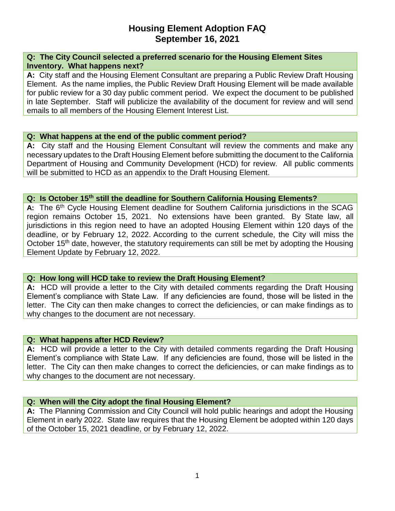# **Housing Element Adoption FAQ September 16, 2021**

#### **Q: The City Council selected a preferred scenario for the Housing Element Sites Inventory. What happens next?**

**A:** City staff and the Housing Element Consultant are preparing a Public Review Draft Housing Element. As the name implies, the Public Review Draft Housing Element will be made available for public review for a 30 day public comment period. We expect the document to be published in late September. Staff will publicize the availability of the document for review and will send emails to all members of the Housing Element Interest List.

#### **Q: What happens at the end of the public comment period?**

**A:** City staff and the Housing Element Consultant will review the comments and make any necessary updates to the Draft Housing Element before submitting the document to the California Department of Housing and Community Development (HCD) for review. All public comments will be submitted to HCD as an appendix to the Draft Housing Element.

## **Q: Is October 15th still the deadline for Southern California Housing Elements?**

A: The 6<sup>th</sup> Cycle Housing Element deadline for Southern California jurisdictions in the SCAG region remains October 15, 2021. No extensions have been granted. By State law, all jurisdictions in this region need to have an adopted Housing Element within 120 days of the deadline, or by February 12, 2022. According to the current schedule, the City will miss the October 15<sup>th</sup> date, however, the statutory requirements can still be met by adopting the Housing Element Update by February 12, 2022.

## **Q: How long will HCD take to review the Draft Housing Element?**

**A:** HCD will provide a letter to the City with detailed comments regarding the Draft Housing Element's compliance with State Law. If any deficiencies are found, those will be listed in the letter. The City can then make changes to correct the deficiencies, or can make findings as to why changes to the document are not necessary.

#### **Q: What happens after HCD Review?**

**A:** HCD will provide a letter to the City with detailed comments regarding the Draft Housing Element's compliance with State Law. If any deficiencies are found, those will be listed in the letter. The City can then make changes to correct the deficiencies, or can make findings as to why changes to the document are not necessary.

## **Q: When will the City adopt the final Housing Element?**

**A:** The Planning Commission and City Council will hold public hearings and adopt the Housing Element in early 2022. State law requires that the Housing Element be adopted within 120 days of the October 15, 2021 deadline, or by February 12, 2022.